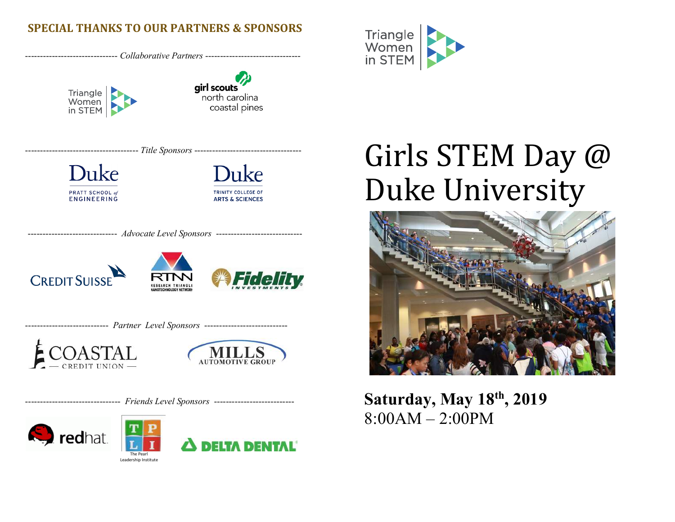#### **SPECIAL THANKS TO OUR PARTNERS & SPONSORS**





# l,



-------------------------------- *Friends Level Sponsors* ---------------------------





# Girls STEM Day @ Duke University



**Saturday, May 18th, 2019** 8:00AM – 2:00PM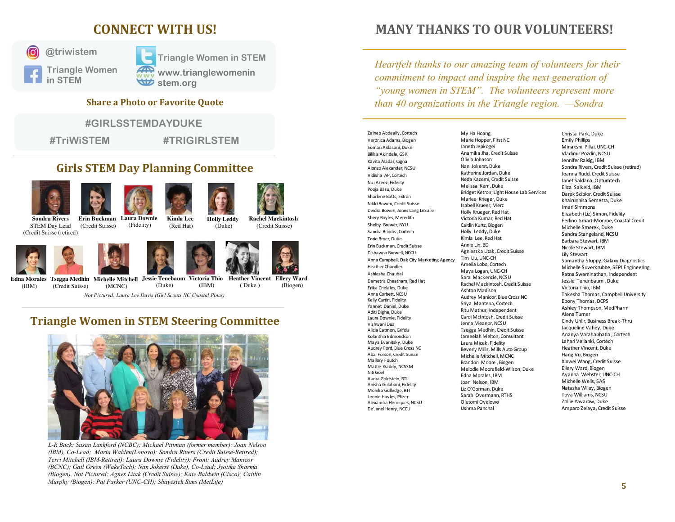## **CONNECT WITH US!**

**@triwistem Triangle Women in STEM**

**Triangle Women in STEM www.trianglewomenin stem.org** 

#### **Share a Photo or Favorite Ouote**

#### **womeninste #GIRLSSTEMDAYDUKE**

**#TriWiSTEM** 

**www.trianglewom**

**#TriWiSTEM #TRIGIRLSTEM**

## **Girls STEM Day Planning Committee**









(Credit Suisse)







**Rachel Mackintosh** (Credit Suisse)





**Sondra Rivers** STEM Day Lead







**Michelle Mitchell Jessie Tenebaum Victoria Thio**<br> **Heather Vincent** Ellery Ward<br> **Theory Ward Properties** (MCNC) (Duke) ( Duke ) (Biogen) (Credit Suisse) (IBM) (IBM)

*Not Pictured: Laura Lee Davis (Girl Scouts NC Coastal Pines)*

#### **Triangle Women in STEM Steering Committee**



*L-R Back: Susan Lankford (NCBC); Michael Pittman (former member); Joan Nelson (IBM), Co-Lead; Maria Walden(Lonovo); Sondra Rivers (Credit Suisse-Retired); Terri Mitchell (IBM-Retired); Laura Downie (Fidelity); Front: Audrey Manicor (BCNC); Gail Green (WakeTech); Nan Jokerst (Duke), Co-Lead; Jyotika Sharma (Biogen). Not Pictured: Agnes Litak (Credit Suisse); Kate Baldwin (Cisco); Caitlin Murphy (Biogen); Pat Parker (UNC-CH); Shayesteh Sims (MetLife)*

## **MANY THANKS TO OUR VOLUNTEERS!**

*Heartfelt thanks to our amazing team of volunteers for their commitment to impact and inspire the next generation of "young women in STEM". The volunteers represent more than 40 organizations in the Triangle region. —Sondra* 

Zaineb Abdeally, Cortech Veronica Adams, Biogen Soman Aidasani, Duke Bilikis Akindele, GSK Kavita Aladar, Cigna Alonzo Alexander, NCSU Vidisha AP, Cortech Nizi Azeez, Fidelity Pooja Basu, Duke Sharlene Batts, Extron Nikki Bowen, Credit Suisse Deidra Bowen, Jones Lang LeSalle Shery Boyles, Meredith Shelby Brewer, NYU Sandra Brindis , Cortech Torie Broer, Duke Erin Buckman, Credit Suisse D'shawna Burwell, NCCU Anna Campbell, Oak City Marketing Agency Heather Chandler Ashlesha Chaubal Demetris Cheatham, Red Hat Erika Chelales, Duke Anne Corbett, NCSU Kelly Curtin, Fidelity Yannet Daniel, Duke Aditi Dighe, Duke Laura Downie, Fidelity Vishwani Dua Alicia Eatmon, Grifols Kolanthia Edmondson Maya Evanitsky, Duke Audrey Ford, Blue Cross NC Aba Forson, Credit Suisse Mallory Foutch Mattie Gaddy, NCSSM Niti Goel Audra Goldstein, RTI Anisha Gulabani, Fidelity Monika Gulledge, RTI Leonie Hayles, Pfizer Alexandra Henriques, NCSU De'Janel Henry, NCCU

My Ha Hoang Marie Hopper, First NC Janeth Jepkogei Anamika Jha, Credit Suisse Olivia Johnson Nan Jokerst, Duke Katherine Jordan, Duke Neda Kazemi, Credit Suisse Melissa Kerr , Duke Bridget Ketron, Light House Lab Services Marlee Krieger, Duke Isabell Krueer, Merz Holly Krueger, Red Hat Victoria Kumar, Red Hat Caitlin Kurtz, Biogen Holly Leddy, Duke Kimla Lee, Red Hat Annie Lin, BD Agnieszka Litak, Credit Suisse Tim Liu, UNC-CH Amelia Lobo, Cortech Maya Logan, UNC-CH Sara Mackenzie, NCSU Rachel Mackintosh, Credit Suisse Ashton Madison Audrey Manicor, Blue Cross NC Sriya Mantena, Cortech Ritu Mathur, Independent Carol McIntosh, Credit Suisse Jenna Meanor, NCSU Tsegga Medhin, Credit Suisse Jameelah Melton, Consultant Laura Micek, Fidelity Beverly Mills, Mills Auto Group Michelle Mitchell, MCNC Brandon Moore, Biogen Melodie Moorefield-Wilson, Duke Edna Morales, IBM Joan Nelson, IBM Liz O'Gorman, Duke Sarah Overmann, RTHS Olutomi Oyelowo Ushma Panchal

Christa Park, Duke Emily Phillips Minakshi Pillai, UNC-CH Vladimir Pozdin, NCSU Jennifer Raisig, IBM Sondra Rivers, Credit Suisse (retired) Joanna Rudd, Credit Suisse Janet Saldana, Optumtech Eliza Salkeld, IBM Darek Scibior, Credit Suisse Khairunnisa Semesta, Duke Imari Simmons Elizabeth (Liz) Simon, Fidelity Ferlino Smart-Monroe, Coastal Credit Michelle Smerek, Duke Sandra Stangeland, NCSU Barbara Stewart, IBM Nicole Stewart, IBM Lily Stewart Samantha Stuppy, Galaxy Diagnostics Michelle Suverkrubbe, SEPI Engineering Ratna Swaminathan, Independent Jessie Tenenbaum , Duke Victoria Thio, IBM Takesha Thomas, Campbell University Ebony Thomas, DCPS Ashley Thompson, MedPharm Alena Turner Cindy Uhlir, Business Break-Thru Jacqueline Vahey, Duke Ananya Varahabhatla , Cortech Lahari Vellanki, Cortech Heather Vincent, Duke Hang Vu, Biogen Xinwei Wang, Credit Suisse Ellery Ward, Biogen Ayanna Webster UNC-CH Michelle Wells, SAS Natasha Wiley, Biogen Tova Williams, NCSU Zollie Yavarow, Duke Amparo Zelaya, Credit Suisse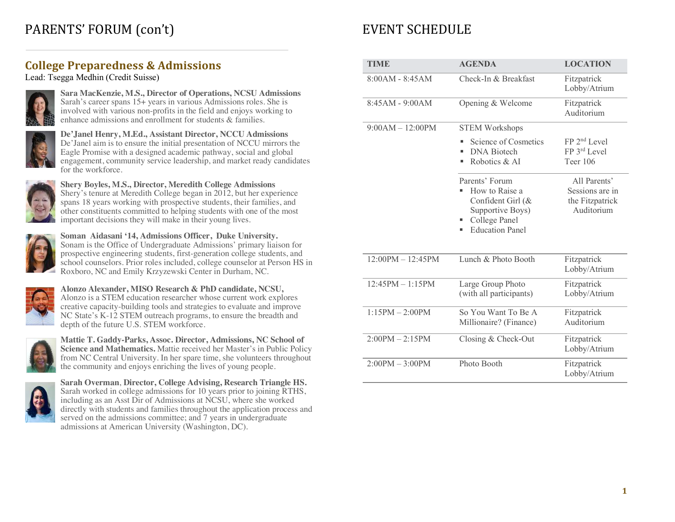#### **College Preparedness & Admissions**

Lead: Tsegga Medhin (Credit Suisse)



**Sara MacKenzie, M.S., Director of Operations, NCSU Admissions**  Sarah's career spans 15+ years in various Admissions roles. She is involved with various non-profits in the field and enjoys working to enhance admissions and enrollment for students & families.



**De'Janel Henry, M.Ed., Assistant Director, NCCU Admissions**  De'Janel aim is to ensure the initial presentation of NCCU mirrors the Eagle Promise with a designed academic pathway, social and global engagement, community service leadership, and market ready candidates for the workforce.



**Shery Boyles, M.S., Director, Meredith College Admissions** Shery's tenure at Meredith College began in 2012, but her experience spans 18 years working with prospective students, their families, and other constituents committed to helping students with one of the most important decisions they will make in their young lives.



**Soman Aidasani '14, Admissions Officer, Duke University.**  Sonam is the Office of Undergraduate Admissions' primary liaison for prospective engineering students, first-generation college students, and school counselors. Prior roles included, college counselor at Person HS in Roxboro, NC and Emily Krzyzewski Center in Durham, NC.



**Alonzo Alexander, MISO Research & PhD candidate, NCSU,**  Alonzo is a STEM education researcher whose current work explores creative capacity-building tools and strategies to evaluate and improve NC State's K-12 STEM outreach programs, to ensure the breadth and depth of the future U.S. STEM workforce.



**Mattie T. Gaddy-Parks, Assoc. Director, Admissions, NC School of Science and Mathematics.** Mattie received her Master's in Public Policy from NC Central University. In her spare time, she volunteers throughout the community and enjoys enriching the lives of young people.



**Sarah Overman**, **Director, College Advising, Research Triangle HS.**  Sarah worked in college admissions for 10 years prior to joining RTHS, including as an Asst Dir of Admissions at NCSU, where she worked directly with students and families throughout the application process and served on the admissions committee; and 7 years in undergraduate admissions at American University (Washington, DC).

## EVENT SCHEDULE

| <b>TIME</b>         | <b>AGENDA</b>                                                                                                                  | <b>LOCATION</b>                                                  |
|---------------------|--------------------------------------------------------------------------------------------------------------------------------|------------------------------------------------------------------|
| $8:00AM - 8:45AM$   | Check-In & Breakfast                                                                                                           | Fitzpatrick<br>Lobby/Atrium                                      |
| $8:45AM - 9:00AM$   | Opening & Welcome                                                                                                              | Fitzpatrick<br>Auditorium                                        |
| $9:00AM - 12:00PM$  | <b>STEM Workshops</b>                                                                                                          |                                                                  |
|                     | Science of Cosmetics<br><b>DNA</b> Biotech<br>ш<br>Robotics & AI<br>٠                                                          | FP 2 <sup>nd</sup> Level<br>FP 3rd Level<br><b>Teer 106</b>      |
|                     | Parents' Forum<br>How to Raise a<br>Confident Girl (&<br>Supportive Boys)<br>College Panel<br>٠<br><b>Education Panel</b><br>٠ | All Parents'<br>Sessions are in<br>the Fitzpatrick<br>Auditorium |
| $12:00PM - 12:45PM$ | Lunch & Photo Booth                                                                                                            | Fitzpatrick<br>Lobby/Atrium                                      |
| 12:45PM - 1:15PM    | Large Group Photo<br>(with all participants)                                                                                   | Fitzpatrick<br>Lobby/Atrium                                      |
| $1:15PM - 2:00PM$   | So You Want To Be A<br>Millionaire? (Finance)                                                                                  | Fitzpatrick<br>Auditorium                                        |
| $2:00PM - 2:15PM$   | Closing & Check-Out                                                                                                            | Fitzpatrick<br>Lobby/Atrium                                      |
| $2:00PM - 3:00PM$   | Photo Booth                                                                                                                    | Fitzpatrick<br>Lobby/Atrium                                      |